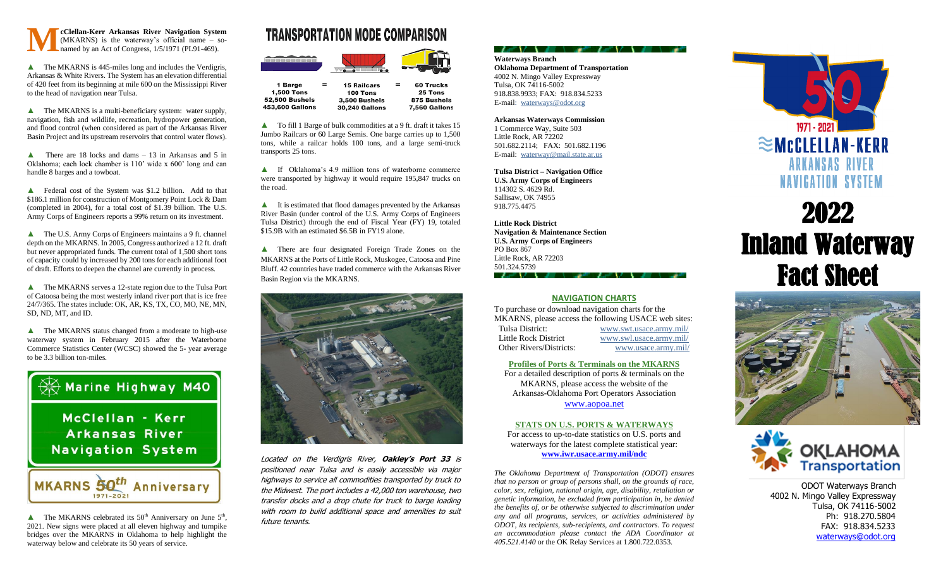

▲ The MKARNS is 445-miles long and includes the Verdigris, Arkansas & White Rivers. The System has an elevation differential of 420 feet from its beginning at mile 600 on the Mississippi River to the head of navigation near Tulsa.

▲ The MKARNS is a multi-beneficiary system: water supply, navigation, fish and wildlife, recreation, hydropower generation, and flood control (when considered as part of the Arkansas River Basin Project and its upstream reservoirs that control water flows).

**A** There are 18 locks and dams  $-13$  in Arkansas and 5 in Oklahoma; each lock chamber is 110' wide x 600' long and can handle 8 barges and a towboat.

▲ Federal cost of the System was \$1.2 billion. Add to that \$186.1 million for construction of Montgomery Point Lock & Dam (completed in 2004), for a total cost of \$1.39 billion. The U.S. Army Corps of Engineers reports a 99% return on its investment.

▲ The U.S. Army Corps of Engineers maintains a 9 ft. channel depth on the MKARNS. In 2005, Congress authorized a 12 ft. draft but never appropriated funds. The current total of 1,500 short tons of capacity could by increased by 200 tons for each additional foot of draft. Efforts to deepen the channel are currently in process.

▲ The MKARNS serves a 12-state region due to the Tulsa Port of Catoosa being the most westerly inland river port that is ice free 24/7/365. The states include: OK, AR, KS, TX, CO, MO, NE, MN, SD, ND, MT, and ID.

▲ The MKARNS status changed from a moderate to high-use waterway system in February 2015 after the Waterborne Commerce Statistics Center (WCSC) showed the 5- year average to be 3.3 billion ton-miles.



 $\blacktriangle$  The MKARNS celebrated its 50<sup>th</sup> Anniversary on June 5<sup>th</sup>, 2021. New signs were placed at all eleven highway and turnpike bridges over the MKARNS in Oklahoma to help highlight the waterway below and celebrate its 50 years of service.

## **TRANSPORTATION MODE COMPARISON**

|  | דו<br>المائمة<br>÷ |
|--|--------------------|
|  |                    |

| 1 Barge         | = | <b>15 Railcars</b>    | = | 60 Trucks           |
|-----------------|---|-----------------------|---|---------------------|
| 1,500 Tons      |   | 100 Tons              |   | 25 Tons             |
| 52,500 Bushels  |   | 3,500 Bushels         |   | 875 Bushels         |
| 153,600 Gallons |   | <b>30,240 Gallons</b> |   | <b>7,560 Gallon</b> |
|                 |   |                       |   |                     |

▲ To fill 1 Barge of bulk commodities at a 9 ft. draft it takes 15 Jumbo Railcars or 60 Large Semis. One barge carries up to 1,500 tons, while a railcar holds 100 tons, and a large semi-truck transports 25 tons.

▲ If Oklahoma's 4.9 million tons of waterborne commerce were transported by highway it would require 195,847 trucks on the road.

▲ It is estimated that flood damages prevented by the Arkansas River Basin (under control of the U.S. Army Corps of Engineers Tulsa District) through the end of Fiscal Year (FY) 19, totaled \$15.9B with an estimated \$6.5B in FY19 alone.

▲ There are four designated Foreign Trade Zones on the MKARNS at the Ports of Little Rock, Muskogee, Catoosa and Pine Bluff. 42 countries have traded commerce with the Arkansas River Basin Region via the MKARNS.



Located on the Verdigris River, **Oakley's Port 33** is positioned near Tulsa and is easily accessible via major highways to service all commodities transported by truck to the Midwest. The port includes a 42,000 ton warehouse, two transfer docks and a drop chute for truck to barge loading with room to build additional space and amenities to suit future tenants.

#### **Waterways Branch Oklahoma Department of Transportation** 4002 N. Mingo Valley Expressway Tulsa, OK 74116-5002 918.838.9933; FAX: 918.834.5233 E-mail: [waterways@odot.org](mailto:waterways@odot.org)

フィン キュー・デーション キュー・デ

**Arkansas Waterways Commission** 1 Commerce Way, Suite 503

Little Rock, AR 72202 501.682.2114; FAX: 501.682.1196 E-mail: [waterway@mail.state.ar.us](mailto:waterway@mail.state.ar.us)

**Tulsa District – Navigation Office U.S. Army Corps of Engineers** 114302 S. 4629 Rd. Sallisaw, OK 74955 918.775.4475

**Little Rock District Navigation & Maintenance Section U.S. Army Corps of Engineers** PO Box 867 Little Rock, AR 72203 501.324.5739

#### **NAVIGATION CHARTS**

To purchase or download navigation charts for the MKARNS, please access the following USACE web sites: Tulsa District: [www.swt.usace.army.mil/](http://www.swt.usace.army.mil/) Little Rock District [www.swl.usace.army.mil/](http://www.swl.usace.army.mil/) Other Rivers/Districts: [www.usace.army.mil/](http://www.usace.army.mil/)

#### **Profiles of Ports & Terminals on the MKARNS**

For a detailed description of ports & terminals on the MKARNS, please access the website of the Arkansas-Oklahoma Port Operators Association [www.aopoa.net](http://www.aopoa.net/)

#### **STATS ON U.S. PORTS & WATERWAYS**

For access to up-to-date statistics on U.S. ports and waterways for the latest complete statistical year: **[www.iwr.usace.army.mil/ndc](http://www.iwr.usace.army.mil/ndc)**

*The Oklahoma Department of Transportation (ODOT) ensures that no person or group of persons shall, on the grounds of race, color, sex, religion, national origin, age, disability, retaliation or genetic information, be excluded from participation in, be denied the benefits of, or be otherwise subjected to discrimination under any and all programs, services, or activities administered by ODOT, its recipients, sub-recipients, and contractors. To request an accommodation please contact the ADA Coordinator at 405.521.4140* or the OK Relay Services at 1.800.722.0353.



# 2022 Inland Waterway Fact Sheet





 ODOT Waterways Branch 4002 N. Mingo Valley Expressway Tulsa, OK 74116-5002 Ph: 918.270.5804 FAX: 918.834.5233 [waterways@odot.org](mailto:waterways@odot.org)